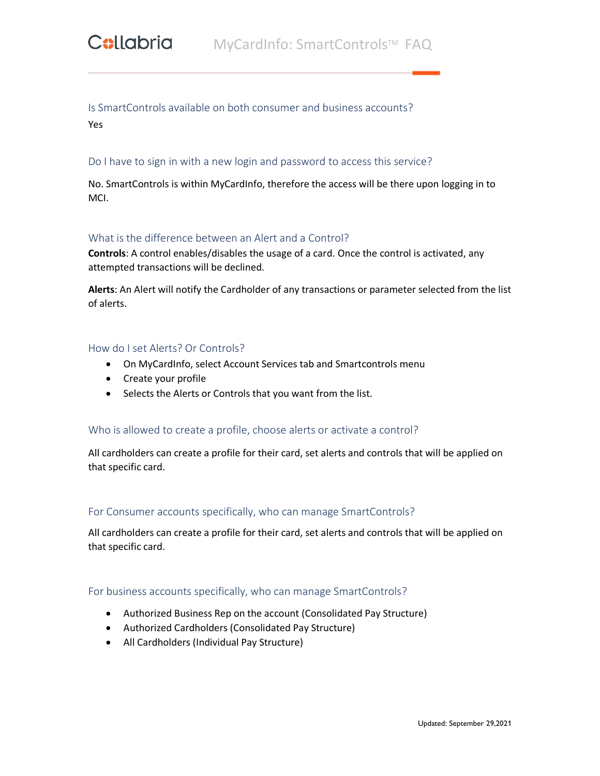# Is SmartControls available on both consumer and business accounts?

Yes

# Do I have to sign in with a new login and password to access this service?

No. SmartControls is within MyCardInfo, therefore the access will be there upon logging in to MCI.

# What is the difference between an Alert and a Control?

**Controls**: A control enables/disables the usage of a card. Once the control is activated, any attempted transactions will be declined.

**Alerts**: An Alert will notify the Cardholder of any transactions or parameter selected from the list of alerts.

### How do I set Alerts? Or Controls?

- On MyCardInfo, select Account Services tab and Smartcontrols menu
- Create your profile
- Selects the Alerts or Controls that you want from the list.

# Who is allowed to create a profile, choose alerts or activate a control?

All cardholders can create a profile for their card, set alerts and controls that will be applied on that specific card.

#### For Consumer accounts specifically, who can manage SmartControls?

All cardholders can create a profile for their card, set alerts and controls that will be applied on that specific card.

#### For business accounts specifically, who can manage SmartControls?

- Authorized Business Rep on the account (Consolidated Pay Structure)
- Authorized Cardholders (Consolidated Pay Structure)
- All Cardholders (Individual Pay Structure)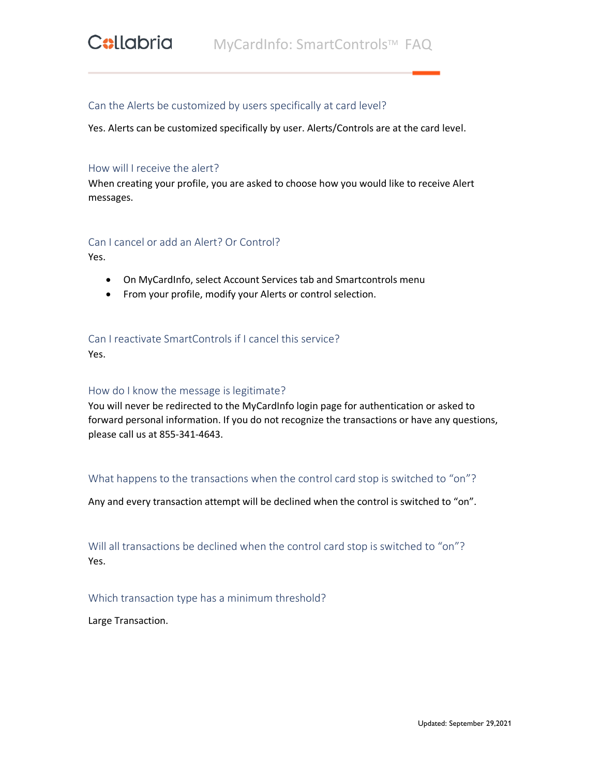## Can the Alerts be customized by users specifically at card level?

Yes. Alerts can be customized specifically by user. Alerts/Controls are at the card level.

#### How will I receive the alert?

When creating your profile, you are asked to choose how you would like to receive Alert messages.

#### Can I cancel or add an Alert? Or Control?

Yes.

- On MyCardInfo, select Account Services tab and Smartcontrols menu
- From your profile, modify your Alerts or control selection.

# Can I reactivate SmartControls if I cancel this service?

Yes.

#### How do I know the message is legitimate?

You will never be redirected to the MyCardInfo login page for authentication or asked to forward personal information. If you do not recognize the transactions or have any questions, please call us at 855-341-4643.

#### What happens to the transactions when the control card stop is switched to "on"?

Any and every transaction attempt will be declined when the control is switched to "on".

Will all transactions be declined when the control card stop is switched to "on"? Yes.

Which transaction type has a minimum threshold?

Large Transaction.